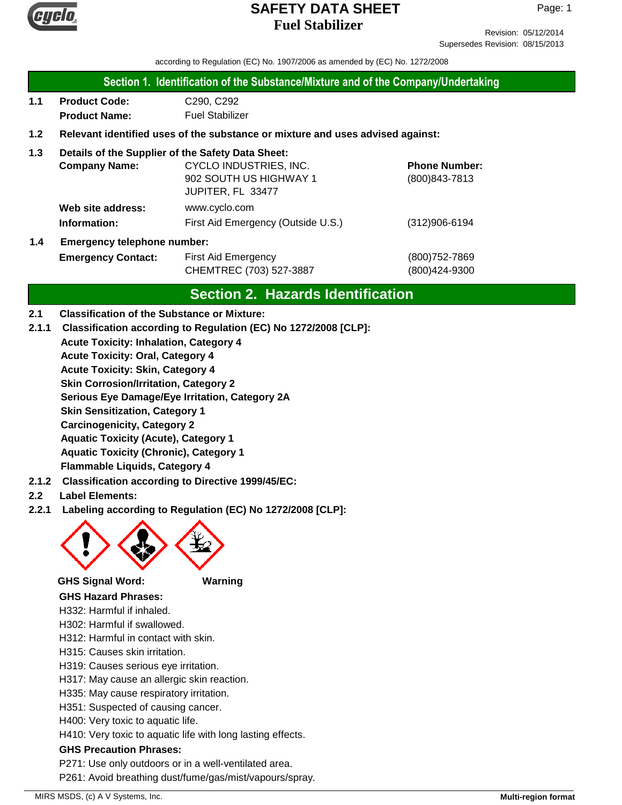

Revision: 05/12/2014 Supersedes Revision: 08/15/2013

according to Regulation (EC) No. 1907/2006 as amended by (EC) No. 1272/2008

#### **Section 1. Identification of the Substance/Mixture and of the Company/Undertaking**

**1.1 Product Code:** C290, C292 **Product Name:** Fuel Stabilizer

### **1.2 Relevant identified uses of the substance or mixture and uses advised against:**

### **1.3 Details of the Supplier of the Safety Data Sheet:**

|     | <b>Company Name:</b>               | CYCLO INDUSTRIES, INC.             | <b>Phone Number:</b> |
|-----|------------------------------------|------------------------------------|----------------------|
|     |                                    | 902 SOUTH US HIGHWAY 1             | (800) 843-7813       |
|     |                                    | JUPITER, FL 33477                  |                      |
|     | Web site address:                  | www.cyclo.com                      |                      |
|     | Information:                       | First Aid Emergency (Outside U.S.) | $(312)906 - 6194$    |
| 1.4 | <b>Emergency telephone number:</b> |                                    |                      |

**Emergency Contact:** First Aid Emergency **Emergency** (800)752-7869 CHEMTREC (703) 527-3887 (800)424-9300

# **Section 2. Hazards Identification**

### **2.1 Classification of the Substance or Mixture:**

- **2.1.1 Classification according to Regulation (EC) No 1272/2008 [CLP]:**
	- **Acute Toxicity: Inhalation, Category 4**

**Acute Toxicity: Oral, Category 4**

**Acute Toxicity: Skin, Category 4**

**Skin Corrosion/Irritation, Category 2**

**Serious Eye Damage/Eye Irritation, Category 2A**

**Skin Sensitization, Category 1**

**Carcinogenicity, Category 2**

**Aquatic Toxicity (Acute), Category 1**

**Aquatic Toxicity (Chronic), Category 1**

- **Flammable Liquids, Category 4**
- **2.1.2 Classification according to Directive 1999/45/EC:**

## **2.2 Label Elements:**

**2.2.1 Labeling according to Regulation (EC) No 1272/2008 [CLP]:**



### **GHS Signal Word: Warning**

**GHS Hazard Phrases:**

- H332: Harmful if inhaled.
- H302: Harmful if swallowed.
- H312: Harmful in contact with skin.
- H315: Causes skin irritation.
- H319: Causes serious eye irritation.
- H317: May cause an allergic skin reaction.
- H335: May cause respiratory irritation.
- H351: Suspected of causing cancer.
- H400: Very toxic to aquatic life.

H410: Very toxic to aquatic life with long lasting effects.

### **GHS Precaution Phrases:**

P271: Use only outdoors or in a well-ventilated area.

P261: Avoid breathing dust/fume/gas/mist/vapours/spray.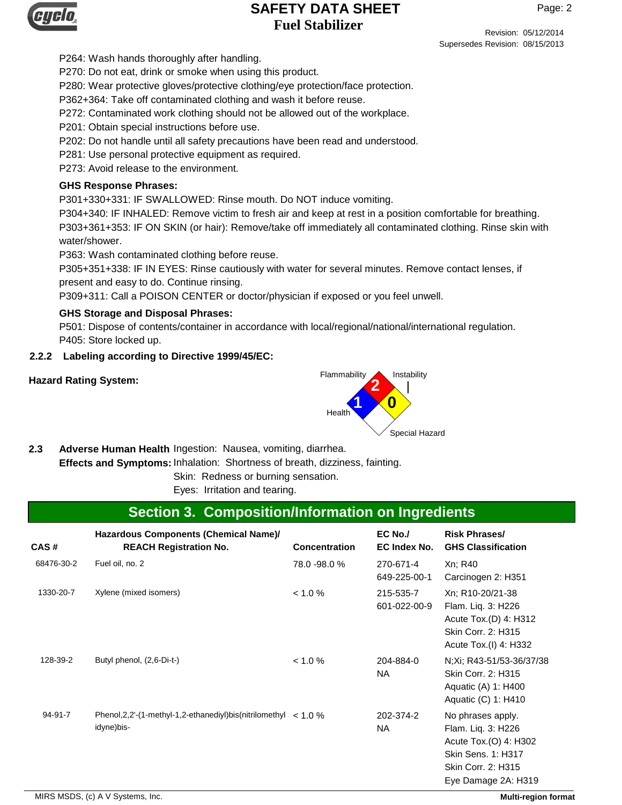

Page: 2

Revision: 05/12/2014 Supersedes Revision: 08/15/2013

P264: Wash hands thoroughly after handling.

P270: Do not eat, drink or smoke when using this product.

P280: Wear protective gloves/protective clothing/eye protection/face protection.

P362+364: Take off contaminated clothing and wash it before reuse.

P272: Contaminated work clothing should not be allowed out of the workplace.

P201: Obtain special instructions before use.

P202: Do not handle until all safety precautions have been read and understood.

P281: Use personal protective equipment as required.

P273: Avoid release to the environment.

## **GHS Response Phrases:**

P301+330+331: IF SWALLOWED: Rinse mouth. Do NOT induce vomiting.

P304+340: IF INHALED: Remove victim to fresh air and keep at rest in a position comfortable for breathing. P303+361+353: IF ON SKIN (or hair): Remove/take off immediately all contaminated clothing. Rinse skin with water/shower.

P363: Wash contaminated clothing before reuse.

P305+351+338: IF IN EYES: Rinse cautiously with water for several minutes. Remove contact lenses, if present and easy to do. Continue rinsing.

P309+311: Call a POISON CENTER or doctor/physician if exposed or you feel unwell.

## **GHS Storage and Disposal Phrases:**

P501: Dispose of contents/container in accordance with local/regional/national/international regulation. P405: Store locked up.

## **2.2.2 Labeling according to Directive 1999/45/EC:**



2.3 Adverse Human Health Ingestion: Nausea, vomiting, diarrhea.

**Effects and Symptoms: Inhalation: Shortness of breath, dizziness, fainting.** 

Skin: Redness or burning sensation.

Eyes: Irritation and tearing.

# **Section 3. Composition/Information on Ingredients**

| CAS#       | Hazardous Components (Chemical Name)/<br><b>REACH Registration No.</b>               | <b>Concentration</b> | EC No./<br>EC Index No.   | <b>Risk Phrases/</b><br><b>GHS Classification</b>                                                                                          |
|------------|--------------------------------------------------------------------------------------|----------------------|---------------------------|--------------------------------------------------------------------------------------------------------------------------------------------|
| 68476-30-2 | Fuel oil, no. 2                                                                      | 78.0 - 98.0 %        | 270-671-4<br>649-225-00-1 | Xn; R40<br>Carcinogen 2: H351                                                                                                              |
| 1330-20-7  | Xylene (mixed isomers)                                                               | $< 1.0 \%$           | 215-535-7<br>601-022-00-9 | Xn; R10-20/21-38<br>Flam. Liq. 3: H226<br>Acute Tox.(D) 4: H312<br>Skin Corr. 2: H315<br>Acute Tox.(I) 4: H332                             |
| 128-39-2   | Butyl phenol, (2,6-Di-t-)                                                            | < 1.0 %              | 204-884-0<br>NA.          | N; Xi; R43-51/53-36/37/38<br>Skin Corr. 2: H315<br>Aquatic (A) 1: H400<br>Aquatic (C) 1: H410                                              |
| 94-91-7    | Phenol, 2, 2'-(1-methyl-1, 2-ethanediyl) bis (nitrilomethyl $< 1.0 \%$<br>idyne)bis- |                      | 202-374-2<br><b>NA</b>    | No phrases apply.<br>Flam. Lig. 3: H226<br>Acute Tox.(O) 4: H302<br><b>Skin Sens. 1: H317</b><br>Skin Corr. 2: H315<br>Eye Damage 2A: H319 |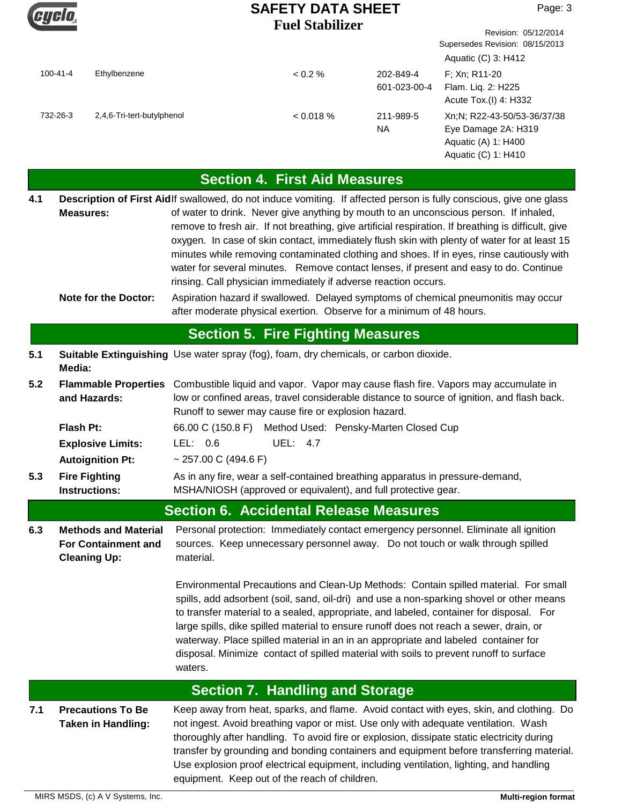Gyclo

Revision: 05/12/2014

Supersedes Revision: 08/15/2013

| Flam. Liq. 2: H225<br>601-023-00-4<br>2,4,6-Tri-tert-butylphenol<br>< 0.018 %<br>732-26-3<br>211-989-5<br><b>NA</b><br><b>Section 4. First Aid Measures</b><br>Description of First Aidlf swallowed, do not induce vomiting. If affected person is fully conscious, give one glass<br>4.1<br>of water to drink. Never give anything by mouth to an unconscious person. If inhaled,<br><b>Measures:</b><br>remove to fresh air. If not breathing, give artificial respiration. If breathing is difficult, give<br>oxygen. In case of skin contact, immediately flush skin with plenty of water for at least 15<br>minutes while removing contaminated clothing and shoes. If in eyes, rinse cautiously with<br>water for several minutes. Remove contact lenses, if present and easy to do. Continue<br>rinsing. Call physician immediately if adverse reaction occurs.<br>Aspiration hazard if swallowed. Delayed symptoms of chemical pneumonitis may occur<br><b>Note for the Doctor:</b><br>after moderate physical exertion. Observe for a minimum of 48 hours.<br><b>Section 5. Fire Fighting Measures</b><br>Suitable Extinguishing Use water spray (fog), foam, dry chemicals, or carbon dioxide.<br>5.1<br>Media:<br>5.2<br>Combustible liquid and vapor. Vapor may cause flash fire. Vapors may accumulate in<br><b>Flammable Properties</b><br>low or confined areas, travel considerable distance to source of ignition, and flash back.<br>and Hazards:<br>Runoff to sewer may cause fire or explosion hazard.<br>66.00 C (150.8 F) Method Used: Pensky-Marten Closed Cup<br>Flash Pt:<br>LEL: 0.6<br><b>UEL: 4.7</b><br><b>Explosive Limits:</b><br><b>Autoignition Pt:</b><br>~ 257.00 C (494.6 F)<br>As in any fire, wear a self-contained breathing apparatus in pressure-demand,<br>5.3<br><b>Fire Fighting</b><br>MSHA/NIOSH (approved or equivalent), and full protective gear.<br><b>Instructions:</b><br><b>Section 6. Accidental Release Measures</b><br>6.3<br><b>Methods and Material</b><br>Personal protection: Immediately contact emergency personnel. Eliminate all ignition<br>sources. Keep unnecessary personnel away. Do not touch or walk through spilled<br><b>For Containment and</b><br><b>Cleaning Up:</b><br>material.<br>Environmental Precautions and Clean-Up Methods: Contain spilled material. For small<br>spills, add adsorbent (soil, sand, oil-dri) and use a non-sparking shovel or other means<br>to transfer material to a sealed, appropriate, and labeled, container for disposal. For<br>large spills, dike spilled material to ensure runoff does not reach a sewer, drain, or<br>waterway. Place spilled material in an in an appropriate and labeled container for<br>disposal. Minimize contact of spilled material with soils to prevent runoff to surface<br>waters.<br><b>Section 7. Handling and Storage</b><br>Keep away from heat, sparks, and flame. Avoid contact with eyes, skin, and clothing. Do<br>7.1<br><b>Precautions To Be</b><br>not ingest. Avoid breathing vapor or mist. Use only with adequate ventilation. Wash<br><b>Taken in Handling:</b><br>thoroughly after handling. To avoid fire or explosion, dissipate static electricity during<br>transfer by grounding and bonding containers and equipment before transferring material.<br>Use explosion proof electrical equipment, including ventilation, lighting, and handling<br>equipment. Keep out of the reach of children.<br>MIRS MSDS, (c) A V Systems, Inc. |                                                                                                  |         |              |                |
|--------------------------------------------------------------------------------------------------------------------------------------------------------------------------------------------------------------------------------------------------------------------------------------------------------------------------------------------------------------------------------------------------------------------------------------------------------------------------------------------------------------------------------------------------------------------------------------------------------------------------------------------------------------------------------------------------------------------------------------------------------------------------------------------------------------------------------------------------------------------------------------------------------------------------------------------------------------------------------------------------------------------------------------------------------------------------------------------------------------------------------------------------------------------------------------------------------------------------------------------------------------------------------------------------------------------------------------------------------------------------------------------------------------------------------------------------------------------------------------------------------------------------------------------------------------------------------------------------------------------------------------------------------------------------------------------------------------------------------------------------------------------------------------------------------------------------------------------------------------------------------------------------------------------------------------------------------------------------------------------------------------------------------------------------------------------------------------------------------------------------------------------------------------------------------------------------------------------------------------------------------------------------------------------------------------------------------------------------------------------------------------------------------------------------------------------------------------------------------------------------------------------------------------------------------------------------------------------------------------------------------------------------------------------------------------------------------------------------------------------------------------------------------------------------------------------------------------------------------------------------------------------------------------------------------------------------------------------------------------------------------------------------------------------------------------------------------------------------------------------------------------------------------------------------------------------------------------------------------------------------------------------------------------------------------------------------------------------------------------------------------------------------------------------------------------------------------------------------------------------------------|--------------------------------------------------------------------------------------------------|---------|--------------|----------------|
|                                                                                                                                                                                                                                                                                                                                                                                                                                                                                                                                                                                                                                                                                                                                                                                                                                                                                                                                                                                                                                                                                                                                                                                                                                                                                                                                                                                                                                                                                                                                                                                                                                                                                                                                                                                                                                                                                                                                                                                                                                                                                                                                                                                                                                                                                                                                                                                                                                                                                                                                                                                                                                                                                                                                                                                                                                                                                                                                                                                                                                                                                                                                                                                                                                                                                                                                                                                                                                                                                                        | <b>Multi-region format</b>                                                                       |         |              |                |
|                                                                                                                                                                                                                                                                                                                                                                                                                                                                                                                                                                                                                                                                                                                                                                                                                                                                                                                                                                                                                                                                                                                                                                                                                                                                                                                                                                                                                                                                                                                                                                                                                                                                                                                                                                                                                                                                                                                                                                                                                                                                                                                                                                                                                                                                                                                                                                                                                                                                                                                                                                                                                                                                                                                                                                                                                                                                                                                                                                                                                                                                                                                                                                                                                                                                                                                                                                                                                                                                                                        |                                                                                                  |         |              |                |
|                                                                                                                                                                                                                                                                                                                                                                                                                                                                                                                                                                                                                                                                                                                                                                                                                                                                                                                                                                                                                                                                                                                                                                                                                                                                                                                                                                                                                                                                                                                                                                                                                                                                                                                                                                                                                                                                                                                                                                                                                                                                                                                                                                                                                                                                                                                                                                                                                                                                                                                                                                                                                                                                                                                                                                                                                                                                                                                                                                                                                                                                                                                                                                                                                                                                                                                                                                                                                                                                                                        |                                                                                                  |         |              |                |
|                                                                                                                                                                                                                                                                                                                                                                                                                                                                                                                                                                                                                                                                                                                                                                                                                                                                                                                                                                                                                                                                                                                                                                                                                                                                                                                                                                                                                                                                                                                                                                                                                                                                                                                                                                                                                                                                                                                                                                                                                                                                                                                                                                                                                                                                                                                                                                                                                                                                                                                                                                                                                                                                                                                                                                                                                                                                                                                                                                                                                                                                                                                                                                                                                                                                                                                                                                                                                                                                                                        |                                                                                                  |         |              |                |
|                                                                                                                                                                                                                                                                                                                                                                                                                                                                                                                                                                                                                                                                                                                                                                                                                                                                                                                                                                                                                                                                                                                                                                                                                                                                                                                                                                                                                                                                                                                                                                                                                                                                                                                                                                                                                                                                                                                                                                                                                                                                                                                                                                                                                                                                                                                                                                                                                                                                                                                                                                                                                                                                                                                                                                                                                                                                                                                                                                                                                                                                                                                                                                                                                                                                                                                                                                                                                                                                                                        |                                                                                                  |         |              |                |
|                                                                                                                                                                                                                                                                                                                                                                                                                                                                                                                                                                                                                                                                                                                                                                                                                                                                                                                                                                                                                                                                                                                                                                                                                                                                                                                                                                                                                                                                                                                                                                                                                                                                                                                                                                                                                                                                                                                                                                                                                                                                                                                                                                                                                                                                                                                                                                                                                                                                                                                                                                                                                                                                                                                                                                                                                                                                                                                                                                                                                                                                                                                                                                                                                                                                                                                                                                                                                                                                                                        |                                                                                                  |         |              |                |
|                                                                                                                                                                                                                                                                                                                                                                                                                                                                                                                                                                                                                                                                                                                                                                                                                                                                                                                                                                                                                                                                                                                                                                                                                                                                                                                                                                                                                                                                                                                                                                                                                                                                                                                                                                                                                                                                                                                                                                                                                                                                                                                                                                                                                                                                                                                                                                                                                                                                                                                                                                                                                                                                                                                                                                                                                                                                                                                                                                                                                                                                                                                                                                                                                                                                                                                                                                                                                                                                                                        |                                                                                                  |         |              |                |
|                                                                                                                                                                                                                                                                                                                                                                                                                                                                                                                                                                                                                                                                                                                                                                                                                                                                                                                                                                                                                                                                                                                                                                                                                                                                                                                                                                                                                                                                                                                                                                                                                                                                                                                                                                                                                                                                                                                                                                                                                                                                                                                                                                                                                                                                                                                                                                                                                                                                                                                                                                                                                                                                                                                                                                                                                                                                                                                                                                                                                                                                                                                                                                                                                                                                                                                                                                                                                                                                                                        |                                                                                                  |         |              |                |
|                                                                                                                                                                                                                                                                                                                                                                                                                                                                                                                                                                                                                                                                                                                                                                                                                                                                                                                                                                                                                                                                                                                                                                                                                                                                                                                                                                                                                                                                                                                                                                                                                                                                                                                                                                                                                                                                                                                                                                                                                                                                                                                                                                                                                                                                                                                                                                                                                                                                                                                                                                                                                                                                                                                                                                                                                                                                                                                                                                                                                                                                                                                                                                                                                                                                                                                                                                                                                                                                                                        |                                                                                                  |         |              |                |
|                                                                                                                                                                                                                                                                                                                                                                                                                                                                                                                                                                                                                                                                                                                                                                                                                                                                                                                                                                                                                                                                                                                                                                                                                                                                                                                                                                                                                                                                                                                                                                                                                                                                                                                                                                                                                                                                                                                                                                                                                                                                                                                                                                                                                                                                                                                                                                                                                                                                                                                                                                                                                                                                                                                                                                                                                                                                                                                                                                                                                                                                                                                                                                                                                                                                                                                                                                                                                                                                                                        |                                                                                                  |         |              |                |
|                                                                                                                                                                                                                                                                                                                                                                                                                                                                                                                                                                                                                                                                                                                                                                                                                                                                                                                                                                                                                                                                                                                                                                                                                                                                                                                                                                                                                                                                                                                                                                                                                                                                                                                                                                                                                                                                                                                                                                                                                                                                                                                                                                                                                                                                                                                                                                                                                                                                                                                                                                                                                                                                                                                                                                                                                                                                                                                                                                                                                                                                                                                                                                                                                                                                                                                                                                                                                                                                                                        |                                                                                                  |         |              |                |
|                                                                                                                                                                                                                                                                                                                                                                                                                                                                                                                                                                                                                                                                                                                                                                                                                                                                                                                                                                                                                                                                                                                                                                                                                                                                                                                                                                                                                                                                                                                                                                                                                                                                                                                                                                                                                                                                                                                                                                                                                                                                                                                                                                                                                                                                                                                                                                                                                                                                                                                                                                                                                                                                                                                                                                                                                                                                                                                                                                                                                                                                                                                                                                                                                                                                                                                                                                                                                                                                                                        |                                                                                                  |         |              |                |
|                                                                                                                                                                                                                                                                                                                                                                                                                                                                                                                                                                                                                                                                                                                                                                                                                                                                                                                                                                                                                                                                                                                                                                                                                                                                                                                                                                                                                                                                                                                                                                                                                                                                                                                                                                                                                                                                                                                                                                                                                                                                                                                                                                                                                                                                                                                                                                                                                                                                                                                                                                                                                                                                                                                                                                                                                                                                                                                                                                                                                                                                                                                                                                                                                                                                                                                                                                                                                                                                                                        |                                                                                                  |         |              |                |
|                                                                                                                                                                                                                                                                                                                                                                                                                                                                                                                                                                                                                                                                                                                                                                                                                                                                                                                                                                                                                                                                                                                                                                                                                                                                                                                                                                                                                                                                                                                                                                                                                                                                                                                                                                                                                                                                                                                                                                                                                                                                                                                                                                                                                                                                                                                                                                                                                                                                                                                                                                                                                                                                                                                                                                                                                                                                                                                                                                                                                                                                                                                                                                                                                                                                                                                                                                                                                                                                                                        |                                                                                                  |         |              |                |
|                                                                                                                                                                                                                                                                                                                                                                                                                                                                                                                                                                                                                                                                                                                                                                                                                                                                                                                                                                                                                                                                                                                                                                                                                                                                                                                                                                                                                                                                                                                                                                                                                                                                                                                                                                                                                                                                                                                                                                                                                                                                                                                                                                                                                                                                                                                                                                                                                                                                                                                                                                                                                                                                                                                                                                                                                                                                                                                                                                                                                                                                                                                                                                                                                                                                                                                                                                                                                                                                                                        |                                                                                                  |         |              |                |
|                                                                                                                                                                                                                                                                                                                                                                                                                                                                                                                                                                                                                                                                                                                                                                                                                                                                                                                                                                                                                                                                                                                                                                                                                                                                                                                                                                                                                                                                                                                                                                                                                                                                                                                                                                                                                                                                                                                                                                                                                                                                                                                                                                                                                                                                                                                                                                                                                                                                                                                                                                                                                                                                                                                                                                                                                                                                                                                                                                                                                                                                                                                                                                                                                                                                                                                                                                                                                                                                                                        | Xn;N; R22-43-50/53-36/37/38<br>Eye Damage 2A: H319<br>Aquatic (A) 1: H400<br>Aquatic (C) 1: H410 |         |              |                |
| Aquatic (C) 3: H412                                                                                                                                                                                                                                                                                                                                                                                                                                                                                                                                                                                                                                                                                                                                                                                                                                                                                                                                                                                                                                                                                                                                                                                                                                                                                                                                                                                                                                                                                                                                                                                                                                                                                                                                                                                                                                                                                                                                                                                                                                                                                                                                                                                                                                                                                                                                                                                                                                                                                                                                                                                                                                                                                                                                                                                                                                                                                                                                                                                                                                                                                                                                                                                                                                                                                                                                                                                                                                                                                    | F; Xn; R11-20<br>202-849-4<br>Acute Tox.(I) 4: H332                                              | < 0.2 % | Ethylbenzene | $100 - 41 - 4$ |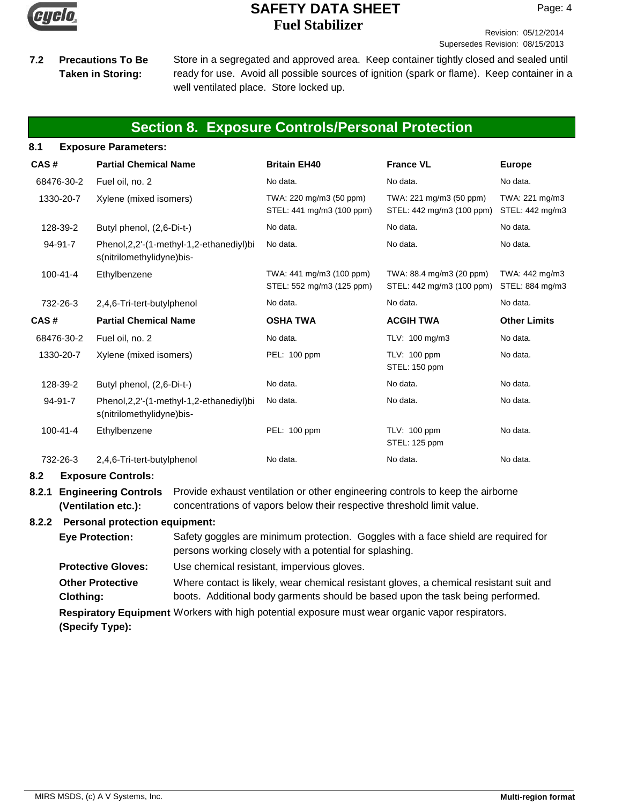

#### Revision: 05/12/2014 Supersedes Revision: 08/15/2013

**Precautions To Be Taken in Storing:**

**7.2** Precautions To Be Store in a segregated and approved area. Keep container tightly closed and sealed until ready for use. Avoid all possible sources of ignition (spark or flame). Keep container in a well ventilated place. Store locked up.

# **Section 8. Exposure Controls/Personal Protection**

| 8.1            | <b>Exposure Parameters:</b>                                              |                                                       |                                                       |                                   |
|----------------|--------------------------------------------------------------------------|-------------------------------------------------------|-------------------------------------------------------|-----------------------------------|
| CAS#           | <b>Partial Chemical Name</b>                                             | <b>Britain EH40</b>                                   | <b>France VL</b>                                      | <b>Europe</b>                     |
| 68476-30-2     | Fuel oil, no. 2                                                          | No data.                                              | No data.                                              | No data.                          |
| 1330-20-7      | Xylene (mixed isomers)                                                   | TWA: 220 mg/m3 (50 ppm)<br>STEL: 441 mg/m3 (100 ppm)  | TWA: 221 mg/m3 (50 ppm)<br>STEL: 442 mg/m3 (100 ppm)  | TWA: 221 mg/m3<br>STEL: 442 mg/m3 |
| 128-39-2       | Butyl phenol, (2,6-Di-t-)                                                | No data.                                              | No data.                                              | No data.                          |
| $94-91-7$      | Phenol, 2, 2'-(1-methyl-1, 2-ethanediyl) bi<br>s(nitrilomethylidyne)bis- | No data.                                              | No data.                                              | No data.                          |
| $100 - 41 - 4$ | Ethylbenzene                                                             | TWA: 441 mg/m3 (100 ppm)<br>STEL: 552 mg/m3 (125 ppm) | TWA: 88.4 mg/m3 (20 ppm)<br>STEL: 442 mg/m3 (100 ppm) | TWA: 442 mg/m3<br>STEL: 884 mg/m3 |
| 732-26-3       | 2,4,6-Tri-tert-butylphenol                                               | No data.                                              | No data.                                              | No data.                          |
| CAS#           | <b>Partial Chemical Name</b>                                             | <b>OSHA TWA</b>                                       | <b>ACGIH TWA</b>                                      | <b>Other Limits</b>               |
| 68476-30-2     | Fuel oil, no. 2                                                          | No data.                                              | TLV: 100 mg/m3                                        | No data.                          |
| 1330-20-7      | Xylene (mixed isomers)                                                   | PEL: 100 ppm                                          | TLV: 100 ppm<br>STEL: 150 ppm                         | No data.                          |
| 128-39-2       | Butyl phenol, (2,6-Di-t-)                                                | No data.                                              | No data.                                              | No data.                          |
| 94-91-7        | Phenol, 2, 2'-(1-methyl-1, 2-ethanediyl) bi<br>s(nitrilomethylidyne)bis- | No data.                                              | No data.                                              | No data.                          |
| $100 - 41 - 4$ | Ethylbenzene                                                             | PEL: 100 ppm                                          | TLV: 100 ppm<br>STEL: 125 ppm                         | No data.                          |
| 732-26-3       | 2,4,6-Tri-tert-butylphenol                                               | No data.                                              | No data.                                              | No data.                          |
| 8.2            | <b>Exposure Controls:</b>                                                |                                                       |                                                       |                                   |
|                |                                                                          |                                                       |                                                       |                                   |

**8.2.1 Engineering Controls** Provide exhaust ventilation or other engineering controls to keep the airborne concentrations of vapors below their respective threshold limit value. **(Ventilation etc.):**

## **8.2.2 Personal protection equipment:**

**Respiratory Equipment** Workers with high potential exposure must wear organic vapor respirators. **(Specify Type):** Safety goggles are minimum protection. Goggles with a face shield are required for persons working closely with a potential for splashing. **Eye Protection: Protective Gloves:** Use chemical resistant, impervious gloves. Where contact is likely, wear chemical resistant gloves, a chemical resistant suit and boots. Additional body garments should be based upon the task being performed. **Other Protective Clothing:**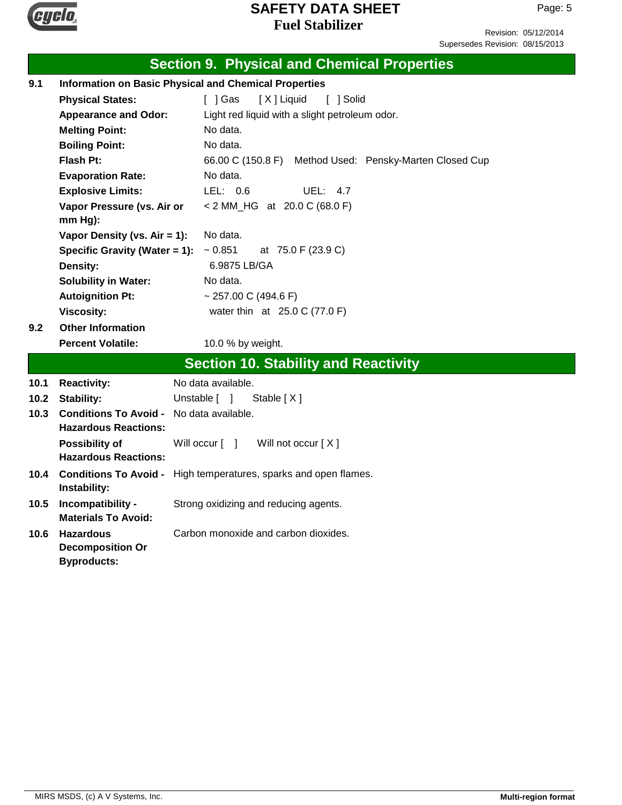

Revision: 05/12/2014 Supersedes Revision: 08/15/2013

|      |                                                              | <b>Section 9. Physical and Chemical Properties</b>               |  |
|------|--------------------------------------------------------------|------------------------------------------------------------------|--|
| 9.1  | <b>Information on Basic Physical and Chemical Properties</b> |                                                                  |  |
|      | <b>Physical States:</b>                                      | [X] Liquid<br>[ ] Gas<br>[ ] Solid                               |  |
|      | <b>Appearance and Odor:</b>                                  | Light red liquid with a slight petroleum odor.                   |  |
|      | <b>Melting Point:</b>                                        | No data.                                                         |  |
|      | <b>Boiling Point:</b>                                        | No data.                                                         |  |
|      | Flash Pt:                                                    | 66.00 C (150.8 F) Method Used: Pensky-Marten Closed Cup          |  |
|      | <b>Evaporation Rate:</b>                                     | No data.                                                         |  |
|      | <b>Explosive Limits:</b>                                     | LEL: 0.6<br><b>UEL: 4.7</b>                                      |  |
|      | Vapor Pressure (vs. Air or                                   | < 2 MM_HG at 20.0 C (68.0 F)                                     |  |
|      | $mm Hg$ ):                                                   |                                                                  |  |
|      | Vapor Density (vs. $Air = 1$ ):                              | No data.                                                         |  |
|      | Specific Gravity (Water = 1):                                | $~1$ - 0.851<br>at 75.0 F (23.9 C)                               |  |
|      | Density:                                                     | 6.9875 LB/GA                                                     |  |
|      | <b>Solubility in Water:</b>                                  | No data.                                                         |  |
|      | <b>Autoignition Pt:</b>                                      | ~ 257.00 C (494.6 F)                                             |  |
|      | <b>Viscosity:</b><br><b>Other Information</b>                | water thin at 25.0 C (77.0 F)                                    |  |
| 9.2  |                                                              |                                                                  |  |
|      | <b>Percent Volatile:</b>                                     | 10.0 % by weight.                                                |  |
|      |                                                              | <b>Section 10. Stability and Reactivity</b>                      |  |
| 10.1 | <b>Reactivity:</b>                                           | No data available.                                               |  |
| 10.2 | <b>Stability:</b>                                            | Unstable [ ]<br>Stable $[X]$                                     |  |
| 10.3 | <b>Conditions To Avoid - No data available.</b>              |                                                                  |  |
|      | <b>Hazardous Reactions:</b>                                  |                                                                  |  |
|      | <b>Possibility of</b>                                        | Will occur [ ]<br>Will not occur [X]                             |  |
|      | <b>Hazardous Reactions:</b>                                  |                                                                  |  |
| 10.4 |                                                              | Conditions To Avoid - High temperatures, sparks and open flames. |  |
|      | Instability:                                                 |                                                                  |  |
| 10.5 | Incompatibility -<br><b>Materials To Avoid:</b>              | Strong oxidizing and reducing agents.                            |  |
| 10.6 | <b>Hazardous</b>                                             | Carbon monoxide and carbon dioxides.                             |  |
|      | <b>Decomposition Or</b>                                      |                                                                  |  |
|      | <b>Byproducts:</b>                                           |                                                                  |  |
|      |                                                              |                                                                  |  |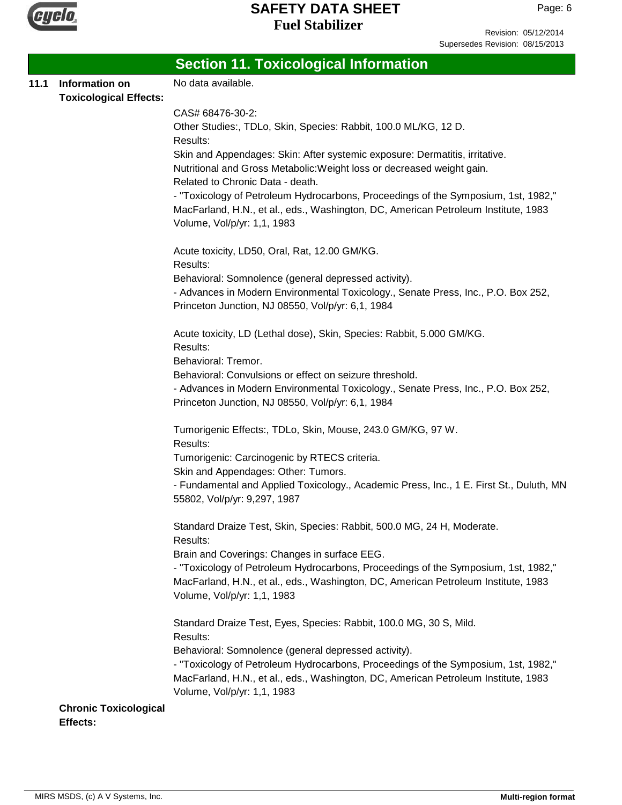

Revision: 05/12/2014 Supersedes Revision: 08/15/2013

|      |                               | <b>Section 11. Toxicological Information</b>                                                                                                                             |
|------|-------------------------------|--------------------------------------------------------------------------------------------------------------------------------------------------------------------------|
| 11.1 | Information on                | No data available.                                                                                                                                                       |
|      | <b>Toxicological Effects:</b> |                                                                                                                                                                          |
|      |                               | CAS# 68476-30-2:                                                                                                                                                         |
|      |                               | Other Studies:, TDLo, Skin, Species: Rabbit, 100.0 ML/KG, 12 D.                                                                                                          |
|      |                               | Results:                                                                                                                                                                 |
|      |                               | Skin and Appendages: Skin: After systemic exposure: Dermatitis, irritative.<br>Nutritional and Gross Metabolic: Weight loss or decreased weight gain.                    |
|      |                               | Related to Chronic Data - death.                                                                                                                                         |
|      |                               | - "Toxicology of Petroleum Hydrocarbons, Proceedings of the Symposium, 1st, 1982,"                                                                                       |
|      |                               | MacFarland, H.N., et al., eds., Washington, DC, American Petroleum Institute, 1983                                                                                       |
|      |                               | Volume, Vol/p/yr: 1,1, 1983                                                                                                                                              |
|      |                               | Acute toxicity, LD50, Oral, Rat, 12.00 GM/KG.                                                                                                                            |
|      |                               | Results:                                                                                                                                                                 |
|      |                               | Behavioral: Somnolence (general depressed activity).                                                                                                                     |
|      |                               | - Advances in Modern Environmental Toxicology., Senate Press, Inc., P.O. Box 252,                                                                                        |
|      |                               | Princeton Junction, NJ 08550, Vol/p/yr: 6,1, 1984                                                                                                                        |
|      |                               | Acute toxicity, LD (Lethal dose), Skin, Species: Rabbit, 5.000 GM/KG.                                                                                                    |
|      |                               | Results:                                                                                                                                                                 |
|      |                               | Behavioral: Tremor.                                                                                                                                                      |
|      |                               | Behavioral: Convulsions or effect on seizure threshold.                                                                                                                  |
|      |                               | - Advances in Modern Environmental Toxicology., Senate Press, Inc., P.O. Box 252,                                                                                        |
|      |                               | Princeton Junction, NJ 08550, Vol/p/yr: 6,1, 1984                                                                                                                        |
|      |                               | Tumorigenic Effects:, TDLo, Skin, Mouse, 243.0 GM/KG, 97 W.                                                                                                              |
|      |                               | Results:                                                                                                                                                                 |
|      |                               | Tumorigenic: Carcinogenic by RTECS criteria.                                                                                                                             |
|      |                               | Skin and Appendages: Other: Tumors.                                                                                                                                      |
|      |                               | - Fundamental and Applied Toxicology., Academic Press, Inc., 1 E. First St., Duluth, MN<br>55802, Vol/p/yr: 9,297, 1987                                                  |
|      |                               | Standard Draize Test, Skin, Species: Rabbit, 500.0 MG, 24 H, Moderate.                                                                                                   |
|      |                               | Results:                                                                                                                                                                 |
|      |                               | Brain and Coverings: Changes in surface EEG.                                                                                                                             |
|      |                               | - "Toxicology of Petroleum Hydrocarbons, Proceedings of the Symposium, 1st, 1982,"<br>MacFarland, H.N., et al., eds., Washington, DC, American Petroleum Institute, 1983 |
|      |                               | Volume, Vol/p/yr: 1,1, 1983                                                                                                                                              |
|      |                               |                                                                                                                                                                          |
|      |                               | Standard Draize Test, Eyes, Species: Rabbit, 100.0 MG, 30 S, Mild.<br>Results:                                                                                           |
|      |                               | Behavioral: Somnolence (general depressed activity).                                                                                                                     |
|      |                               | - "Toxicology of Petroleum Hydrocarbons, Proceedings of the Symposium, 1st, 1982,"                                                                                       |
|      |                               | MacFarland, H.N., et al., eds., Washington, DC, American Petroleum Institute, 1983                                                                                       |
|      |                               | Volume, Vol/p/yr: 1,1, 1983                                                                                                                                              |
|      | <b>Chronic Toxicological</b>  |                                                                                                                                                                          |
|      | Effects:                      |                                                                                                                                                                          |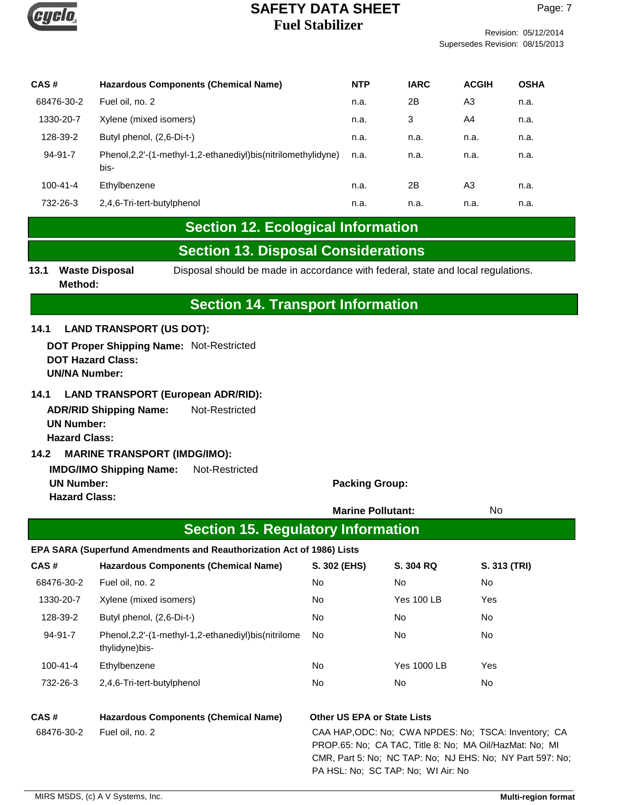

Supersedes Revision: 08/15/2013

| CAS#           | <b>Hazardous Components (Chemical Name)</b>                               | <b>NTP</b> | <b>IARC</b> | <b>ACGIH</b> | <b>OSHA</b> |
|----------------|---------------------------------------------------------------------------|------------|-------------|--------------|-------------|
| 68476-30-2     | Fuel oil, no. 2                                                           | n.a.       | 2Β          | A3           | n.a.        |
| 1330-20-7      | Xylene (mixed isomers)                                                    | n.a.       | 3           | A4           | n.a.        |
| 128-39-2       | Butyl phenol, (2,6-Di-t-)                                                 | n.a.       | n.a.        | n.a.         | n.a.        |
| $94 - 91 - 7$  | Phenol, 2, 2'-(1-methyl-1, 2-ethanediyl) bis (nitrilomethylidyne)<br>bis- | n.a.       | n.a.        | n.a.         | n.a.        |
| $100 - 41 - 4$ | Ethylbenzene                                                              | n.a.       | 2Β          | A3           | n.a.        |
| 732-26-3       | 2,4,6-Tri-tert-butylphenol                                                | n.a.       | n.a.        | n.a.         | n.a.        |

# **Section 12. Ecological Information**

# **Section 13. Disposal Considerations**

# **Section 14. Transport Information**

### **14.1 LAND TRANSPORT (US DOT):**

**DOT Proper Shipping Name:** Not-Restricted **DOT Hazard Class: UN/NA Number:**

### **14.1 LAND TRANSPORT (European ADR/RID):**

**ADR/RID Shipping Name:** Not-Restricted **UN Number: Hazard Class:**

#### **14.2 MARINE TRANSPORT (IMDG/IMO):**

**IMDG/IMO Shipping Name:** Not-Restricted **UN Number: Packing Group: Packing Group: Hazard Class:**

|            |                                                                           | <b>Marine Pollutant:</b>           |                                    | No                                                                                                                                                                           |
|------------|---------------------------------------------------------------------------|------------------------------------|------------------------------------|------------------------------------------------------------------------------------------------------------------------------------------------------------------------------|
|            | <b>Section 15. Regulatory Information</b>                                 |                                    |                                    |                                                                                                                                                                              |
|            | EPA SARA (Superfund Amendments and Reauthorization Act of 1986) Lists     |                                    |                                    |                                                                                                                                                                              |
| CAS#       | <b>Hazardous Components (Chemical Name)</b>                               | S. 302 (EHS)                       | <b>S. 304 RQ</b>                   | S. 313 (TRI)                                                                                                                                                                 |
| 68476-30-2 | Fuel oil, no. 2                                                           | No                                 | No                                 | No                                                                                                                                                                           |
| 1330-20-7  | Xylene (mixed isomers)                                                    | No                                 | <b>Yes 100 LB</b>                  | Yes                                                                                                                                                                          |
| 128-39-2   | Butyl phenol, (2,6-Di-t-)                                                 | No                                 | No                                 | No                                                                                                                                                                           |
| 94-91-7    | Phenol, 2, 2'-(1-methyl-1, 2-ethanediyl) bis (nitrilome<br>thylidyne)bis- | No.                                | No                                 | No                                                                                                                                                                           |
| 100-41-4   | Ethylbenzene                                                              | No                                 | <b>Yes 1000 LB</b>                 | Yes                                                                                                                                                                          |
| 732-26-3   | 2,4,6-Tri-tert-butylphenol                                                | No.                                | No                                 | No                                                                                                                                                                           |
| CAS#       | <b>Hazardous Components (Chemical Name)</b>                               | <b>Other US EPA or State Lists</b> |                                    |                                                                                                                                                                              |
| 68476-30-2 | Fuel oil, no. 2                                                           |                                    | PA HSL: No; SC TAP: No; WI Air: No | CAA HAP, ODC: No: CWA NPDES: No: TSCA: Inventory: CA<br>PROP.65: No: CA TAC, Title 8: No: MA Oil/HazMat: No: MI<br>CMR, Part 5: No; NC TAP: No; NJ EHS: No; NY Part 597: No; |

**<sup>13.1</sup> Waste Disposal** Disposal should be made in accordance with federal, state and local regulations. **Method:**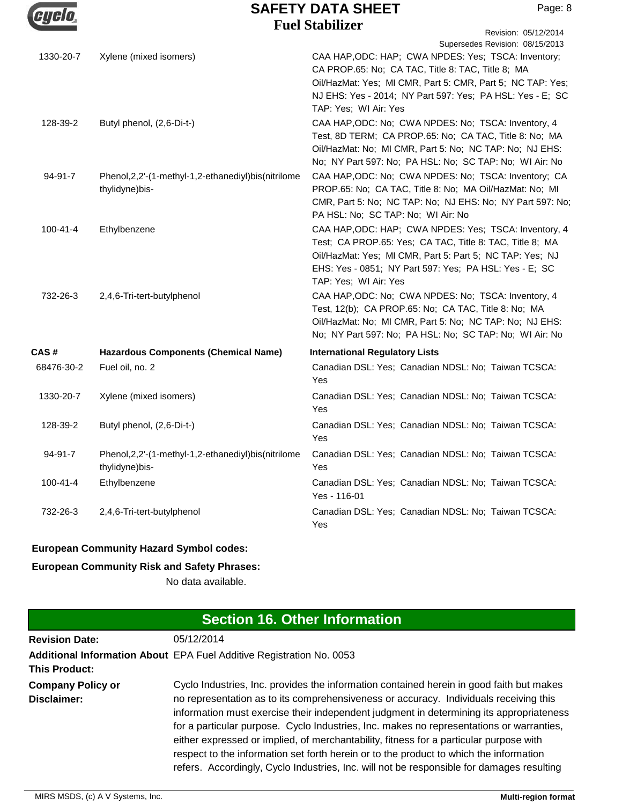

|                |                                                                           | r uvi biavilizēt<br>Revision: 05/12/2014                                                                                                                                                                                                                                                        |
|----------------|---------------------------------------------------------------------------|-------------------------------------------------------------------------------------------------------------------------------------------------------------------------------------------------------------------------------------------------------------------------------------------------|
| 1330-20-7      | Xylene (mixed isomers)                                                    | Supersedes Revision: 08/15/2013<br>CAA HAP, ODC: HAP; CWA NPDES: Yes; TSCA: Inventory;<br>CA PROP.65: No; CA TAC, Title 8: TAC, Title 8; MA<br>Oil/HazMat: Yes; MI CMR, Part 5: CMR, Part 5; NC TAP: Yes;<br>NJ EHS: Yes - 2014; NY Part 597: Yes; PA HSL: Yes - E; SC<br>TAP: Yes; WI Air: Yes |
| 128-39-2       | Butyl phenol, (2,6-Di-t-)                                                 | CAA HAP, ODC: No; CWA NPDES: No; TSCA: Inventory, 4<br>Test, 8D TERM; CA PROP.65: No; CA TAC, Title 8: No; MA<br>Oil/HazMat: No; MI CMR, Part 5: No; NC TAP: No; NJ EHS:<br>No; NY Part 597: No; PA HSL: No; SC TAP: No; WI Air: No                                                             |
| 94-91-7        | Phenol, 2, 2'-(1-methyl-1, 2-ethanediyl) bis (nitrilome<br>thylidyne)bis- | CAA HAP, ODC: No; CWA NPDES: No; TSCA: Inventory; CA<br>PROP.65: No; CA TAC, Title 8: No; MA Oil/HazMat: No; MI<br>CMR, Part 5: No; NC TAP: No; NJ EHS: No; NY Part 597: No;<br>PA HSL: No; SC TAP: No; WI Air: No                                                                              |
| $100 - 41 - 4$ | Ethylbenzene                                                              | CAA HAP, ODC: HAP; CWA NPDES: Yes; TSCA: Inventory, 4<br>Test; CA PROP.65: Yes; CA TAC, Title 8: TAC, Title 8; MA<br>Oil/HazMat: Yes; MI CMR, Part 5: Part 5; NC TAP: Yes; NJ<br>EHS: Yes - 0851; NY Part 597: Yes; PA HSL: Yes - E; SC<br>TAP: Yes; WI Air: Yes                                |
| 732-26-3       | 2,4,6-Tri-tert-butylphenol                                                | CAA HAP, ODC: No; CWA NPDES: No; TSCA: Inventory, 4<br>Test, 12(b); CA PROP.65: No; CA TAC, Title 8: No; MA<br>Oil/HazMat: No; MI CMR, Part 5: No; NC TAP: No; NJ EHS:<br>No; NY Part 597: No; PA HSL: No; SC TAP: No; WI Air: No                                                               |
| CAS #          | <b>Hazardous Components (Chemical Name)</b>                               | <b>International Regulatory Lists</b>                                                                                                                                                                                                                                                           |
| 68476-30-2     | Fuel oil, no. 2                                                           | Canadian DSL: Yes; Canadian NDSL: No; Taiwan TCSCA:<br>Yes                                                                                                                                                                                                                                      |
| 1330-20-7      | Xylene (mixed isomers)                                                    | Canadian DSL: Yes; Canadian NDSL: No; Taiwan TCSCA:<br>Yes                                                                                                                                                                                                                                      |
| 128-39-2       | Butyl phenol, (2,6-Di-t-)                                                 | Canadian DSL: Yes; Canadian NDSL: No; Taiwan TCSCA:<br>Yes                                                                                                                                                                                                                                      |
| 94-91-7        | Phenol, 2, 2'-(1-methyl-1, 2-ethanediyl) bis (nitrilome<br>thylidyne)bis- | Canadian DSL: Yes; Canadian NDSL: No; Taiwan TCSCA:<br>Yes                                                                                                                                                                                                                                      |
| $100 - 41 - 4$ | Ethylbenzene                                                              | Canadian DSL: Yes; Canadian NDSL: No; Taiwan TCSCA:<br>Yes - 116-01                                                                                                                                                                                                                             |
| 732-26-3       | 2,4,6-Tri-tert-butylphenol                                                | Canadian DSL: Yes; Canadian NDSL: No; Taiwan TCSCA:<br>Yes                                                                                                                                                                                                                                      |
|                |                                                                           |                                                                                                                                                                                                                                                                                                 |

## **European Community Hazard Symbol codes:**

## **European Community Risk and Safety Phrases:**

No data available.

| <b>Section 16. Other Information</b>    |                                                                                                                                                                                                                                                                                                                                                                                                                                                                                                                                                                                                                                                           |  |  |
|-----------------------------------------|-----------------------------------------------------------------------------------------------------------------------------------------------------------------------------------------------------------------------------------------------------------------------------------------------------------------------------------------------------------------------------------------------------------------------------------------------------------------------------------------------------------------------------------------------------------------------------------------------------------------------------------------------------------|--|--|
| <b>Revision Date:</b>                   | 05/12/2014                                                                                                                                                                                                                                                                                                                                                                                                                                                                                                                                                                                                                                                |  |  |
| <b>This Product:</b>                    | Additional Information About EPA Fuel Additive Registration No. 0053                                                                                                                                                                                                                                                                                                                                                                                                                                                                                                                                                                                      |  |  |
| <b>Company Policy or</b><br>Disclaimer: | Cyclo Industries, Inc. provides the information contained herein in good faith but makes<br>no representation as to its comprehensiveness or accuracy. Individuals receiving this<br>information must exercise their independent judgment in determining its appropriateness<br>for a particular purpose. Cyclo Industries, Inc. makes no representations or warranties,<br>either expressed or implied, of merchantability, fitness for a particular purpose with<br>respect to the information set forth herein or to the product to which the information<br>refers. Accordingly, Cyclo Industries, Inc. will not be responsible for damages resulting |  |  |